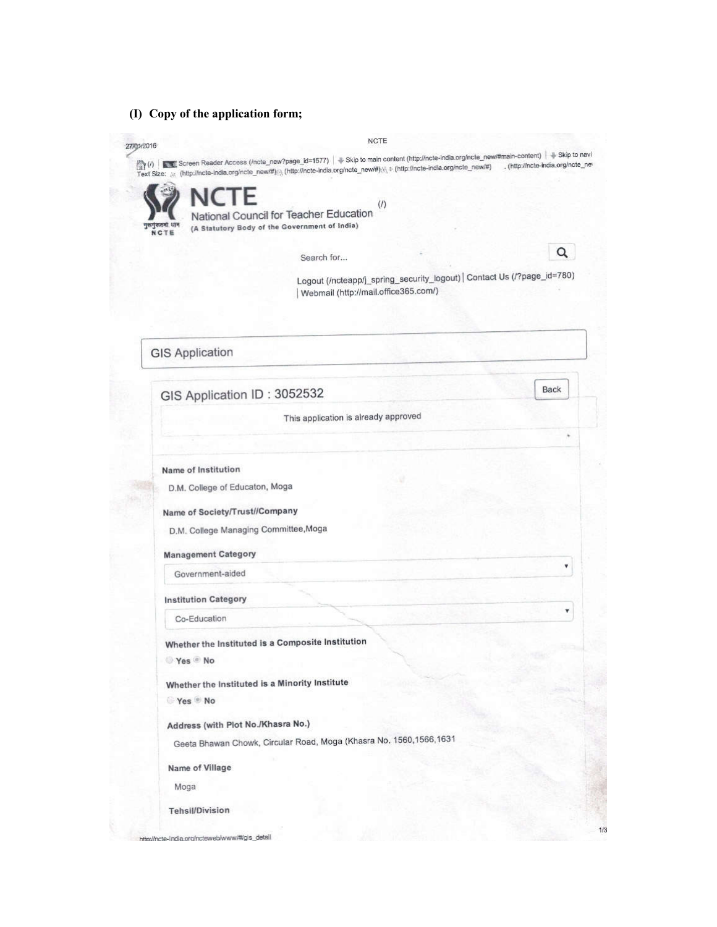**(I) Copy of the application form;**

| Text Size: a (http://ncte-india.org/ncte_new/#) \ (http://ncte-india.org/ncte_new/#) / \ + (http://ncte-india.org/ncte_new/#) |                                      |                                                                         |
|-------------------------------------------------------------------------------------------------------------------------------|--------------------------------------|-------------------------------------------------------------------------|
| NCTF                                                                                                                          | $($ f)                               |                                                                         |
| National Council for Teacher Education<br>गुरूगुरूतमा धान<br>(A Statutory Body of the Government of India)<br>NCTE            |                                      |                                                                         |
|                                                                                                                               |                                      | Q                                                                       |
| Search for                                                                                                                    |                                      |                                                                         |
|                                                                                                                               | Webmail (http://mail.office365.com/) | Logout (/ncteapp/j_spring_security_logout)   Contact Us (/?page_id=780) |
|                                                                                                                               |                                      |                                                                         |
|                                                                                                                               |                                      |                                                                         |
| <b>GIS Application</b>                                                                                                        |                                      |                                                                         |
|                                                                                                                               |                                      |                                                                         |
|                                                                                                                               |                                      | Back                                                                    |
| GIS Application ID: 3052532                                                                                                   |                                      |                                                                         |
|                                                                                                                               | This application is already approved |                                                                         |
|                                                                                                                               |                                      | r                                                                       |
| Name of Institution                                                                                                           |                                      |                                                                         |
| D.M. College of Educaton, Moga                                                                                                |                                      |                                                                         |
| Name of Society/Trust//Company                                                                                                |                                      |                                                                         |
| D.M. College Managing Committee, Moga                                                                                         |                                      |                                                                         |
|                                                                                                                               |                                      |                                                                         |
| <b>Management Category</b><br>Government-aided                                                                                |                                      | ۳                                                                       |
|                                                                                                                               |                                      |                                                                         |
| <b>Institution Category</b>                                                                                                   |                                      | ۷.                                                                      |
| Co-Education                                                                                                                  |                                      |                                                                         |
| Whether the Instituted is a Composite Institution                                                                             |                                      |                                                                         |
| Yes No                                                                                                                        |                                      |                                                                         |
| Whether the Instituted is a Minority Institute                                                                                |                                      |                                                                         |
| Yes No                                                                                                                        |                                      |                                                                         |
| Address (with Plot No./Khasra No.)                                                                                            |                                      |                                                                         |
| Geeta Bhawan Chowk, Circular Road, Moga (Khasra No. 1560,1566,1631                                                            |                                      |                                                                         |
| Name of Village                                                                                                               |                                      |                                                                         |
|                                                                                                                               |                                      |                                                                         |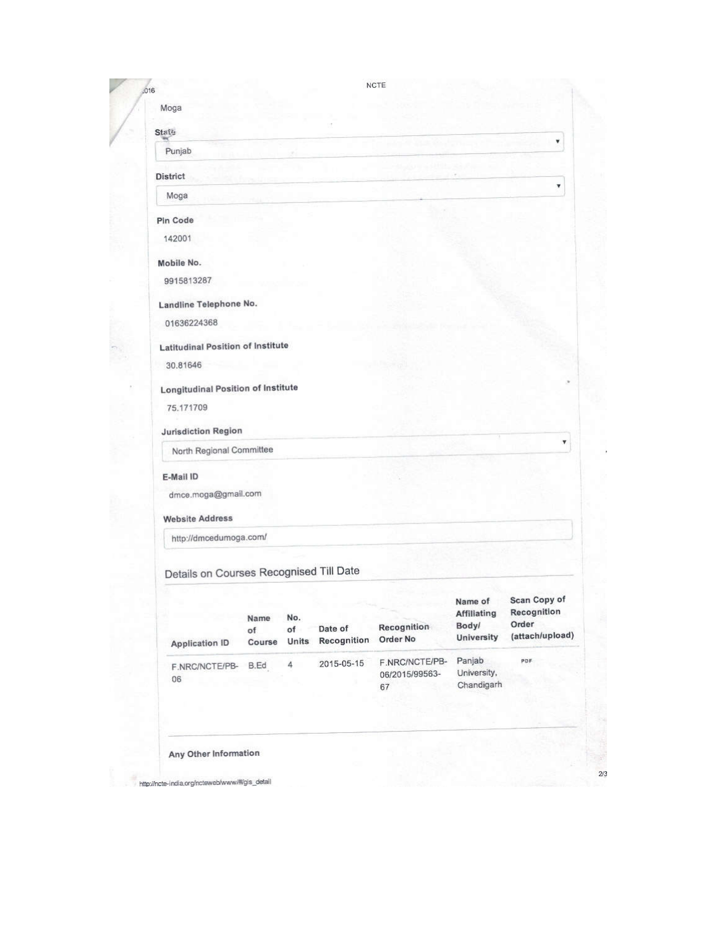| Moga                                      |            |           |             |                      |                               |                             |
|-------------------------------------------|------------|-----------|-------------|----------------------|-------------------------------|-----------------------------|
| <b>State</b>                              |            |           |             |                      |                               |                             |
| Punjab                                    |            |           |             |                      |                               | ¥.                          |
|                                           |            |           |             |                      |                               |                             |
| <b>District</b>                           |            |           |             |                      |                               | ¥                           |
| Moga                                      |            |           |             |                      |                               |                             |
| Pin Code                                  |            |           |             |                      |                               |                             |
| 142001                                    |            |           |             |                      |                               |                             |
| Mobile No.                                |            |           |             |                      |                               |                             |
| 9915813287                                |            |           |             |                      |                               |                             |
| Landline Telephone No.                    |            |           |             |                      |                               |                             |
| 01636224368                               |            |           |             |                      |                               |                             |
|                                           |            |           |             |                      |                               |                             |
| <b>Latitudinal Position of Institute</b>  |            |           |             |                      |                               |                             |
| 30.81646                                  |            |           |             |                      |                               |                             |
| <b>Longitudinal Position of Institute</b> |            |           |             |                      |                               |                             |
| 75.171709                                 |            |           |             |                      |                               |                             |
| <b>Jurisdiction Region</b>                |            |           |             |                      |                               |                             |
| North Regional Committee                  |            |           |             |                      |                               | ۷                           |
| E-Mail ID                                 |            |           |             |                      |                               |                             |
| dmce.moga@gmail.com                       |            |           |             |                      |                               |                             |
| <b>Website Address</b>                    |            |           |             |                      |                               |                             |
| http://dmcedumoga.com/                    |            |           |             |                      |                               |                             |
|                                           |            |           |             |                      |                               |                             |
| Details on Courses Recognised Till Date   |            |           |             |                      |                               |                             |
|                                           |            |           |             |                      |                               |                             |
|                                           |            |           |             |                      | Name of<br><b>Affiliating</b> | Scan Copy of<br>Recognition |
|                                           | Name<br>of | No.<br>of | Date of     | Recognition          | Body/                         | Order                       |
| <b>Application ID</b>                     | Course     | Units     | Recognition | Order No             | <b>University</b>             | (attach/upload)             |
| F.NRC/NCTE/PB-                            | B.Ed       | 4         | 2015-05-15  | F.NRC/NCTE/PB-       | Panjab                        | PDF                         |
| 06                                        |            |           |             | 06/2015/99563-<br>67 | University,<br>Chandigarh     |                             |
|                                           |            |           |             |                      |                               |                             |
|                                           |            |           |             |                      |                               |                             |

http://ncte-india.org/ncteweb/www/#/gis\_detail

 $2/3$ 

 $\overline{\phantom{a}}$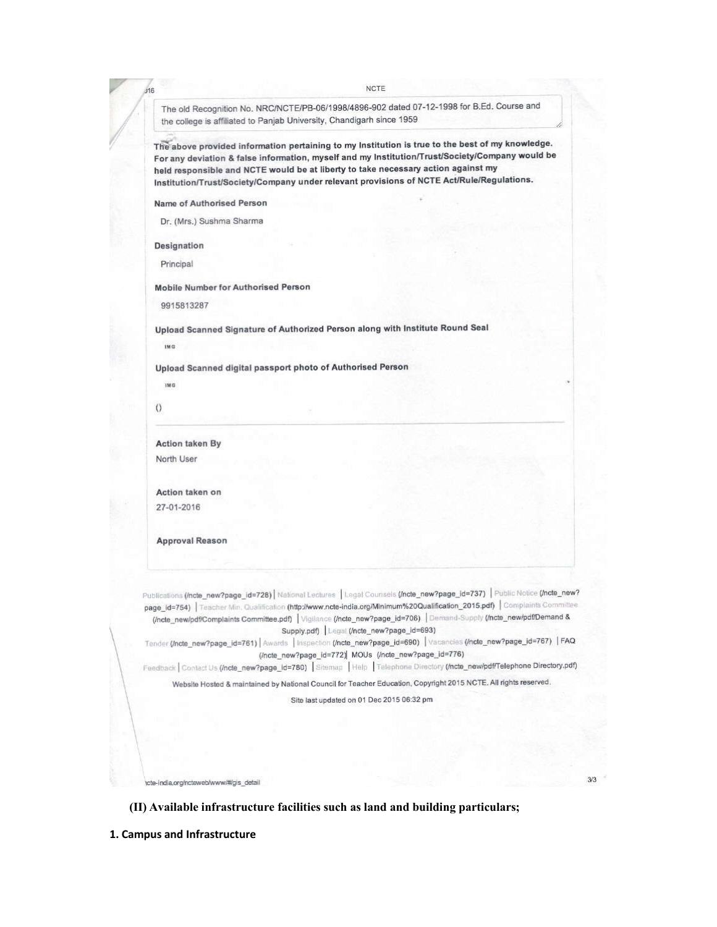The old Recognition No. NRC/NCTE/PB-06/1998/4896-902 dated 07-12-1998 for B.Ed. Course and the college is affiliated to Panjab University, Chandigarh since 1959

The above provided information pertaining to my Institution is true to the best of my knowledge. For any deviation & false information, myself and my Institution/Trust/Society/Company would be held responsible and NCTE would be at liberty to take necessary action against my Institution/Trust/Society/Company under relevant provisions of NCTE Act/Rule/Regulations.

Name of Authorised Person

Dr. (Mrs.) Sushma Sharma

Designation

 $116$ 

Principal

**Mobile Number for Authorised Person** 

9915813287

Upload Scanned Signature of Authorized Person along with Institute Round Seal

 $1M<sub>G</sub>$ 

IM G

Upload Scanned digital passport photo of Authorised Person

 $\theta$ 

**Action taken By** North User

Action taken on 27-01-2016

**Approval Reason** 

Publications (Incle\_new?page\_id=728) | National Lectures | Legal Counsels (Incle\_new?page\_id=737) | Public Notice (Incle\_new? page\_id=754) | Teacher Min. Qualification (http://www.ncte-india.org/Minimum%20Qualification\_2015.pdf) | Complaints Committee (Incte\_newipdf/Complaints Committee.pdf) | Vigilance (Incte\_new?page\_id=706) | Demand-Supply (Incte\_newipdf/Demand & Supply.pdf) Legal (/ncte\_new?page\_id=693)

Tender (/ncte\_new?page\_id=761) | Awards | Inspection (/ncte\_new?page\_id=690) | Vacancies (/ncte\_new?page\_id=767) | FAQ (/ncte\_new?page\_id=772) MOUs (/ncte\_new?page\_id=776)

Feedback | Contact Us (Incle\_new?page\_id=780) | Sitemap | Help | Telephone Directory (Incle\_new/pdf/Telephone Directory.pdf)

Website Hosted & maintained by National Council for Teacher Education, Copyright 2015 NCTE. All rights reserved.

Site last updated on 01 Dec 2015 06:32 pm

 $3/3$ 

tcte-india.org/ncteweb/www/#/gis\_detail

(II) Available infrastructure facilities such as land and building particulars;

1. Campus and Infrastructure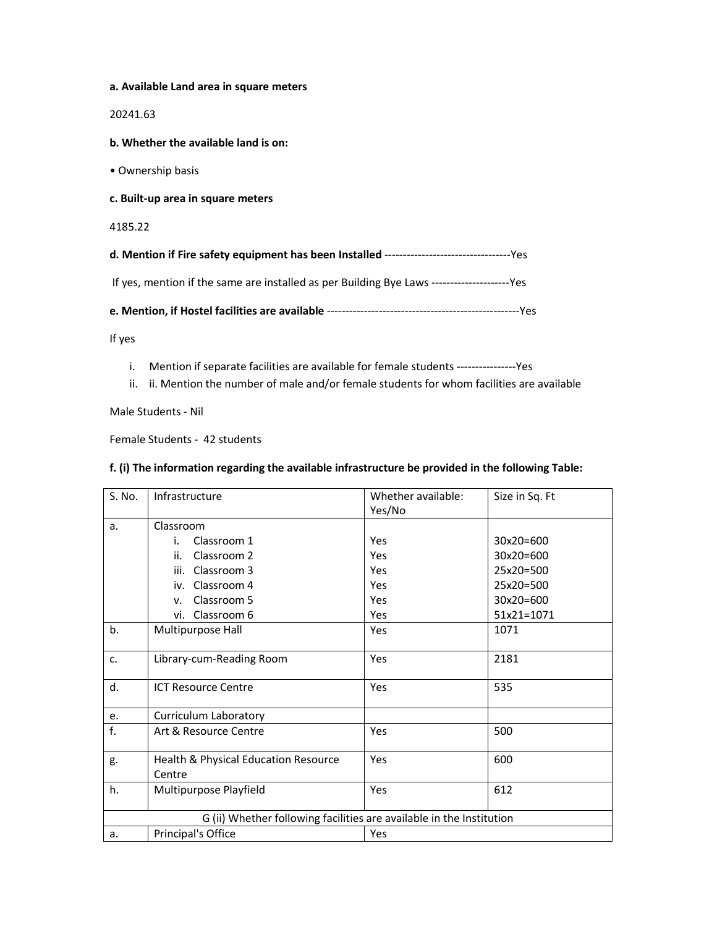## **a. Available Land area in square meters**

20241.63

**b. Whether the available land is on:** 

• Ownership basis

**c. Built-up area in square meters** 

4185.22

| If yes, mention if the same are installed as per Building Bye Laws ---------------------Yes |  |
|---------------------------------------------------------------------------------------------|--|

**e. Mention, if Hostel facilities are available** ----------------------------------------------------Yes

If yes

- i. Mention if separate facilities are available for female students ----------------Yes
- ii. ii. Mention the number of male and/or female students for whom facilities are available

Male Students - Nil

Female Students - 42 students

## **f. (i) The information regarding the available infrastructure be provided in the following Table:**

| S. No. | Infrastructure                                                       | Whether available: | Size in Sq. Ft |
|--------|----------------------------------------------------------------------|--------------------|----------------|
|        |                                                                      | Yes/No             |                |
| a.     | Classroom                                                            |                    |                |
|        | Classroom 1<br>i.                                                    | Yes                | 30x20=600      |
|        | Classroom 2<br>ii.                                                   | Yes                | 30x20=600      |
|        | iii. Classroom 3                                                     | Yes                | 25x20=500      |
|        | iv. Classroom 4                                                      | Yes                | 25x20=500      |
|        | Classroom 5<br>V.                                                    | Yes                | $30x20=600$    |
|        | vi. Classroom 6                                                      | Yes                | 51x21=1071     |
| b.     | Multipurpose Hall                                                    | Yes                | 1071           |
| c.     | Library-cum-Reading Room                                             | Yes                | 2181           |
| d.     | <b>ICT Resource Centre</b>                                           | Yes                | 535            |
| e.     | <b>Curriculum Laboratory</b>                                         |                    |                |
| f.     | Art & Resource Centre                                                | Yes                | 500            |
| g.     | Health & Physical Education Resource                                 | Yes                | 600            |
|        | Centre                                                               |                    |                |
| h.     | Multipurpose Playfield                                               | Yes                | 612            |
|        | G (ii) Whether following facilities are available in the Institution |                    |                |
| a.     | Principal's Office                                                   | Yes                |                |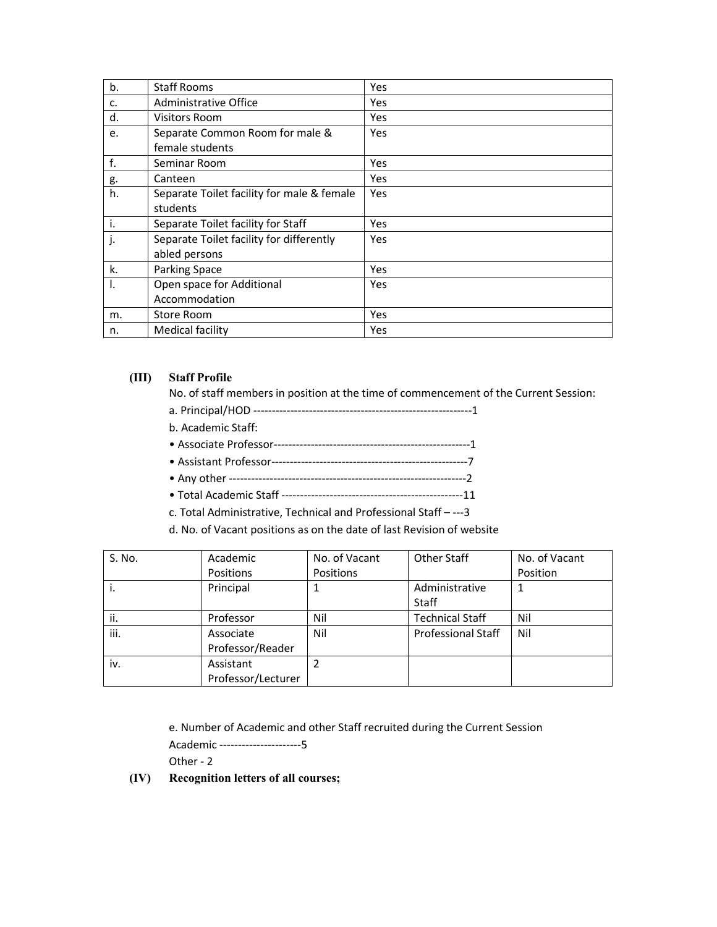| b.  | <b>Staff Rooms</b>                         | Yes |
|-----|--------------------------------------------|-----|
| c.  | Administrative Office                      | Yes |
| d.  | <b>Visitors Room</b>                       | Yes |
| e.  | Separate Common Room for male &            | Yes |
|     | female students                            |     |
| f.  | Seminar Room                               | Yes |
| g.  | Canteen                                    | Yes |
| h.  | Separate Toilet facility for male & female | Yes |
|     | students                                   |     |
| ۱i. | Separate Toilet facility for Staff         | Yes |
| j.  | Separate Toilet facility for differently   | Yes |
|     | abled persons                              |     |
| k.  | <b>Parking Space</b>                       | Yes |
| Ι.  | Open space for Additional                  | Yes |
|     | Accommodation                              |     |
| m.  | Store Room                                 | Yes |
| n.  | Medical facility                           | Yes |

## **(III) Staff Profile**

No. of staff members in position at the time of commencement of the Current Session:

- a. Principal/HOD -----------------------------------------------------------1
- b. Academic Staff:
- Associate Professor-----------------------------------------------------1
- Assistant Professor-----------------------------------------------------7
- Any other ----------------------------------------------------------------2
- Total Academic Staff -------------------------------------------------11
- c. Total Administrative, Technical and Professional Staff ---3

d. No. of Vacant positions as on the date of last Revision of website

| S. No. | Academic           | No. of Vacant | <b>Other Staff</b>        | No. of Vacant |
|--------|--------------------|---------------|---------------------------|---------------|
|        | Positions          | Positions     |                           | Position      |
| ۱.     | Principal          |               | Administrative            |               |
|        |                    |               | <b>Staff</b>              |               |
| ii.    | Professor          | Nil           | <b>Technical Staff</b>    | Nil           |
| iii.   | Associate          | Nil           | <b>Professional Staff</b> | Nil           |
|        | Professor/Reader   |               |                           |               |
| iv.    | Assistant          |               |                           |               |
|        | Professor/Lecturer |               |                           |               |

e. Number of Academic and other Staff recruited during the Current Session

Academic ----------------------5

Other - 2

**(IV) Recognition letters of all courses;**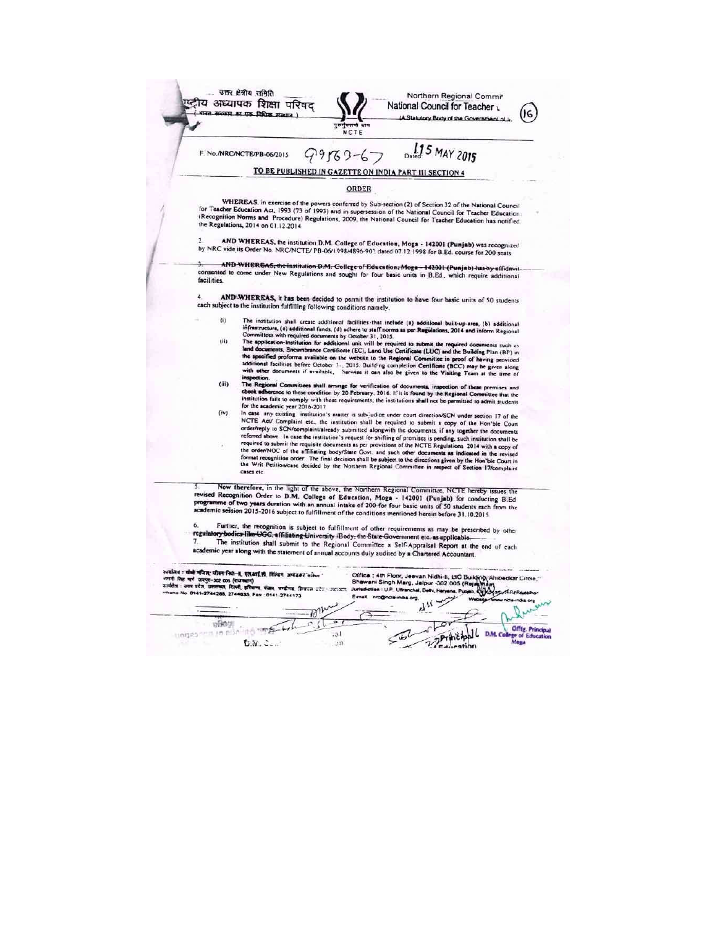|             | A Statutory Body of the Government of I<br>an ann<br><b>NCTE</b>                                                                                                                                                                                                                                                                                                                                                                                                                                                                                                                                                                                                                                                                                                                                                                                                                                                                                                                                                                                                                                                                                                                                                                                                                                                                                                                                                                                                                                                                                                                                                                                                                                                                                                                                                                                                                                                                                                                                                                                                                                                                                                                  |
|-------------|-----------------------------------------------------------------------------------------------------------------------------------------------------------------------------------------------------------------------------------------------------------------------------------------------------------------------------------------------------------------------------------------------------------------------------------------------------------------------------------------------------------------------------------------------------------------------------------------------------------------------------------------------------------------------------------------------------------------------------------------------------------------------------------------------------------------------------------------------------------------------------------------------------------------------------------------------------------------------------------------------------------------------------------------------------------------------------------------------------------------------------------------------------------------------------------------------------------------------------------------------------------------------------------------------------------------------------------------------------------------------------------------------------------------------------------------------------------------------------------------------------------------------------------------------------------------------------------------------------------------------------------------------------------------------------------------------------------------------------------------------------------------------------------------------------------------------------------------------------------------------------------------------------------------------------------------------------------------------------------------------------------------------------------------------------------------------------------------------------------------------------------------------------------------------------------|
|             | Dated 5 MAY 2015<br>$99769 - 6$<br>F. No./NRC/NCTE/PB-06/2015                                                                                                                                                                                                                                                                                                                                                                                                                                                                                                                                                                                                                                                                                                                                                                                                                                                                                                                                                                                                                                                                                                                                                                                                                                                                                                                                                                                                                                                                                                                                                                                                                                                                                                                                                                                                                                                                                                                                                                                                                                                                                                                     |
|             | TO BE PUBLISHED IN GAZETTE ON INDIA PART III SECTION 4                                                                                                                                                                                                                                                                                                                                                                                                                                                                                                                                                                                                                                                                                                                                                                                                                                                                                                                                                                                                                                                                                                                                                                                                                                                                                                                                                                                                                                                                                                                                                                                                                                                                                                                                                                                                                                                                                                                                                                                                                                                                                                                            |
|             | ORDER                                                                                                                                                                                                                                                                                                                                                                                                                                                                                                                                                                                                                                                                                                                                                                                                                                                                                                                                                                                                                                                                                                                                                                                                                                                                                                                                                                                                                                                                                                                                                                                                                                                                                                                                                                                                                                                                                                                                                                                                                                                                                                                                                                             |
|             | WHEREAS, in exercise of the powers conferred by Sub-section (2) of Section 32 of the National Council<br>for Teacher Education Act, 1993 (73 of 1993) and in supersession of the National Council for Teacher Education.<br>(Recognition Norms and Procedure) Regulations, 2009, the National Council for Teacher Education has notified<br>the Regulations, 2014 on 01.12.2014.                                                                                                                                                                                                                                                                                                                                                                                                                                                                                                                                                                                                                                                                                                                                                                                                                                                                                                                                                                                                                                                                                                                                                                                                                                                                                                                                                                                                                                                                                                                                                                                                                                                                                                                                                                                                  |
| J.          | AND WHEREAS, the institution D.M. College of Education, Moga - 142001 (Punjab) was recognized<br>by NRC vide its Order No. NRC/NCTE/ PB-06/1998/4896-90? dated 07.12.1998 for B.Ed. course for 200 seats.                                                                                                                                                                                                                                                                                                                                                                                                                                                                                                                                                                                                                                                                                                                                                                                                                                                                                                                                                                                                                                                                                                                                                                                                                                                                                                                                                                                                                                                                                                                                                                                                                                                                                                                                                                                                                                                                                                                                                                         |
| facilities. | AND WHEREAS, the institution D.M. College of Education, Moga-142001 (Punjab) has by affidavit<br>consented to come under New Regulations and sought for four basic units in B.Ed., which require additional                                                                                                                                                                                                                                                                                                                                                                                                                                                                                                                                                                                                                                                                                                                                                                                                                                                                                                                                                                                                                                                                                                                                                                                                                                                                                                                                                                                                                                                                                                                                                                                                                                                                                                                                                                                                                                                                                                                                                                       |
| 4           | AND WHEREAS, it has been decided to permit the institution to have four basic units of 50 students<br>each subject to the institution fulfilling following conditions namely.                                                                                                                                                                                                                                                                                                                                                                                                                                                                                                                                                                                                                                                                                                                                                                                                                                                                                                                                                                                                                                                                                                                                                                                                                                                                                                                                                                                                                                                                                                                                                                                                                                                                                                                                                                                                                                                                                                                                                                                                     |
|             | (i)<br>The institution shall create additional facilities that include (a) additional built-up-area, (b) additional<br>infrastructure, (c) additional funds, (d) adhere to staff norms as per Regulations, 2014 and inform Regional<br>Committees with required documents by October 31, 2015.<br>(ii)<br>The application-Institution for additional unit will be required to submit the required documents such as<br>land documents, Encumbrance Certificate (EC), Land Use Certificate (LUC) and the Building Plan (BP) in<br>the specified proforms available on the website to the Regional Committee in proof of having provided<br>additional facilities before October 3., 2015. Building completion Certificate (BCC) may be given along<br>with other documents if available, herwise it can also be given to the Visiting Team at the time of<br>inspection.<br>(iii)<br>The Regional Committees shall arrange for verification of documents, inspection of these premises and<br>check adherence to these condition by 20 February, 2016. If it is found by the Regional Committee that the<br>institution fails to comply with these requirements, the institutions shall not be permitted to admit students<br>for the academic year 2016-2017.<br>(iv)<br>In case any existing institution's matter is sub-judice under court direction/SCN under section 17 of the<br>NCTE Act/ Complaint etc., the institution shall be required to submit a copy of the Hon'ble Court<br>order/reply to SCN/complaint/already submitted alongwith the documents, if any together the documents<br>referred above. In case the institution's request for shifting of premises is pending, such institution shall be<br>required to submit the requisite documents as per provisions of the NCTE Regulations 2014 with a copy of<br>the order/NOC of the affiliating body/State Govt. and such other documents as indicated in the revised<br>format recognition order. The final decision shall be subject to the directions given by the Hon'ble Court in<br>the Writ Petition/case decided by the Northern Regional Committee in respect of Section 17/complaint<br>cases etc. |
| 6.          | Now therefore, in the light of the above, the Northern Regional Committee, NCTE hereby issues the<br>revised Recognition Order to D.M. College of Education, Moga - 142001 (Punjab) for conducting B.Ed<br>programme of two years duration with an annual intake of 200 for four basic units of 50 students each from the<br>academic session 2015-2016 subject to fulfillment of the conditions mentioned herein before 31.10.2015                                                                                                                                                                                                                                                                                                                                                                                                                                                                                                                                                                                                                                                                                                                                                                                                                                                                                                                                                                                                                                                                                                                                                                                                                                                                                                                                                                                                                                                                                                                                                                                                                                                                                                                                               |
| 7.          | Further, the recognition is subject to fulfillment of other requirements as may be prescribed by other<br>regulatory bodies like UGC, affiliating University /Body, the State Government etc. as applicable.<br>The institution shall submit to the Regional Committee a Self-Appraisal Report at the end of each<br>academic year along with the statement of annual accounts duly audited by a Chartered Accountant.                                                                                                                                                                                                                                                                                                                                                                                                                                                                                                                                                                                                                                                                                                                                                                                                                                                                                                                                                                                                                                                                                                                                                                                                                                                                                                                                                                                                                                                                                                                                                                                                                                                                                                                                                            |
|             | रुवालेश : पोषी पंजित; जीवन निजे-हे, एतआई.से. मिन्दिन, अमेदका संकेत<br>Office : 4th Floor, Jeevan Nidhi-II, LTC Building, Ambedkar Circle.<br>worth निष्ठ मार्ग जयपुर-302 005 (राजस्थान)<br>Bhawani Singh Marg, Jaipur -302 005 (Raja<br>कार्यक्षेत्र : उत्तर प्रदेश, उत्तराचल, दिल्ली, इतिबाणा, वजान, पण्डीगढ, हिमायल प्रदेश : उदार्थ्याय<br>Jurisdiction : U.P. Utkanchal, Delhi, Haryana, Pun<br>Thone No. 0141-2744288, 2744635, Fax: 0141-2744173<br>E-mail nrc@n                                                                                                                                                                                                                                                                                                                                                                                                                                                                                                                                                                                                                                                                                                                                                                                                                                                                                                                                                                                                                                                                                                                                                                                                                                                                                                                                                                                                                                                                                                                                                                                                                                                                                                             |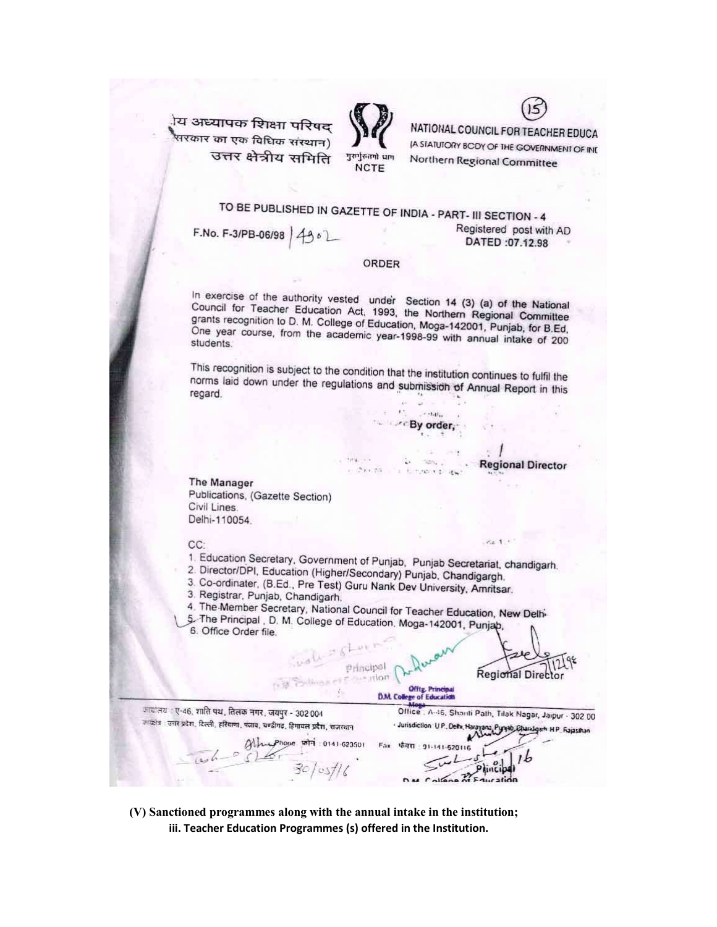<sup>ोय अध्यापक शिक्षा परिषद</sup> .<br>सरकार का एक विधिक संस्थान) उत्तर क्षेत्रीय समिति



**NCTE** 

NATIONAL COUNCIL FOR TEACHER EDUCA **A STATUTORY BCDY OF THE GOVERNMENT OF IND** Northern Regional Committee

# TO BE PUBLISHED IN GAZETTE OF INDIA - PART- III SECTION - 4

F.No. F-3/PB-06/98  $4902$ 

## Registered post with AD DATED:07.12.98

**Regional Director** 

 $8x - 1$ 

## ORDER

In exercise of the authority vested under Section 14 (3) (a) of the National Council for Teacher Education Act, 1993, the Northern Regional Committee grants recognition to D. M. College of Education, Moga-142001, Punjab, for B.Ed. One year course, from the academic year-1998-99 with annual intake of 200 students.

This recognition is subject to the condition that the institution continues to fulfil the norms laid down under the regulations and submission of Annual Report in this regard.

> $\cdots$  .  $\mathbf{E}(\cdot)$ By order,

> > ran.

a summer to lew

The Manager Publications, (Gazette Section) Civil Lines. Delhi-110054

#### CC:

1. Education Secretary, Government of Punjab, Punjab Secretariat, chandigarh.

 $2.1133$ 

- 2. Director/DPI, Education (Higher/Secondary) Punjab, Chandigargh.
- 3. Co-ordinater, (B.Ed., Pre Test) Guru Nank Dev University, Amritsar.
- 3. Registrar, Punjab, Chandigarh.
- 4. The Member Secretary, National Council for Teacher Education, New Delhi-
- 5. The Principal, D. M. College of Education, Moga-142001, Punjab, 6. Office Order file.

Principal Regional Direct er Consultion **Offtg. Princip** D.M. College of Education ायांतय : ए-46, शांति पथ, तिलक नगर, जयपुर - 302 004 Office . A-46, Shanti Path, Tilak Nagar, Jaipur - 302.00 रूप्थंतः । उत्तर प्रदेशः, दिल्लीः, हरियाणाः, पंजावः, चण्डीगढः, हिमाचलं प्रदेशः, राजस्थान · Jurisdiction U.P., Dehi, Harayana, Piyyab, Charadgarh H.P., Rajasihan  $911.623501$ Fax 4771 91-141-520116

(V) Sanctioned programmes along with the annual intake in the institution; iii. Teacher Education Programmes (s) offered in the Institution.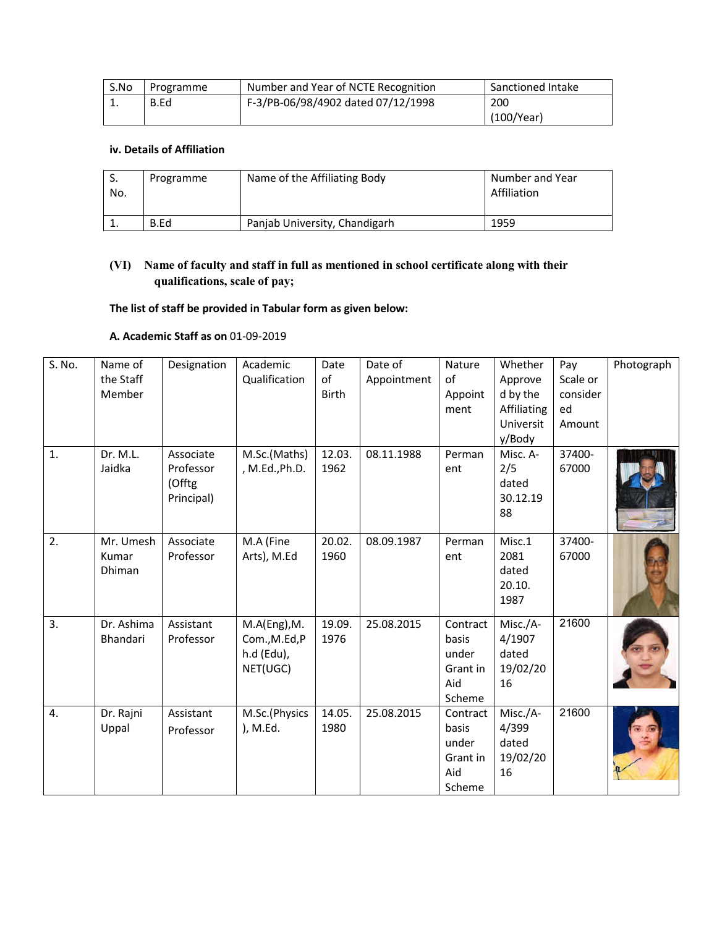| S.No | Programme | Number and Year of NCTE Recognition | Sanctioned Intake |
|------|-----------|-------------------------------------|-------------------|
| 工.   | B.Ed      | F-3/PB-06/98/4902 dated 07/12/1998  | 200               |
|      |           |                                     | (100/Year)        |

## **iv. Details of Affiliation**

| No. | Programme | Name of the Affiliating Body  | Number and Year<br>Affiliation |
|-----|-----------|-------------------------------|--------------------------------|
|     | B.Ed      | Panjab University, Chandigarh | 1959                           |

## **(VI) Name of faculty and staff in full as mentioned in school certificate along with their qualifications, scale of pay;**

## **The list of staff be provided in Tabular form as given below:**

## **A. Academic Staff as on** 01-09-2019

| S. No. | Name of    | Designation | Academic       | Date         | Date of     | Nature   | Whether     | Pay      | Photograph |
|--------|------------|-------------|----------------|--------------|-------------|----------|-------------|----------|------------|
|        | the Staff  |             | Qualification  | of           | Appointment | of       | Approve     | Scale or |            |
|        | Member     |             |                | <b>Birth</b> |             | Appoint  | d by the    | consider |            |
|        |            |             |                |              |             | ment     | Affiliating | ed       |            |
|        |            |             |                |              |             |          | Universit   | Amount   |            |
|        |            |             |                |              |             |          | y/Body      |          |            |
| 1.     | Dr. M.L.   | Associate   | M.Sc.(Maths)   | 12.03.       | 08.11.1988  | Perman   | Misc. A-    | 37400-   |            |
|        | Jaidka     | Professor   | , M.Ed., Ph.D. | 1962         |             | ent      | 2/5         | 67000    |            |
|        |            | (Offtg      |                |              |             |          | dated       |          |            |
|        |            | Principal)  |                |              |             |          | 30.12.19    |          |            |
|        |            |             |                |              |             |          | 88          |          |            |
| 2.     | Mr. Umesh  | Associate   | M.A (Fine      | 20.02.       | 08.09.1987  | Perman   | Misc.1      | 37400-   |            |
|        | Kumar      | Professor   | Arts), M.Ed    | 1960         |             | ent      | 2081        | 67000    |            |
|        | Dhiman     |             |                |              |             |          | dated       |          |            |
|        |            |             |                |              |             |          | 20.10.      |          |            |
|        |            |             |                |              |             |          | 1987        |          |            |
|        |            |             |                |              |             |          |             |          |            |
| 3.     | Dr. Ashima | Assistant   | M.A(Eng), M.   | 19.09.       | 25.08.2015  | Contract | Misc./A-    | 21600    |            |
|        | Bhandari   | Professor   | Com., M.Ed, P  | 1976         |             | basis    | 4/1907      |          |            |
|        |            |             | h.d (Edu),     |              |             | under    | dated       |          |            |
|        |            |             | NET(UGC)       |              |             | Grant in | 19/02/20    |          |            |
|        |            |             |                |              |             | Aid      | 16          |          |            |
|        |            |             |                |              |             | Scheme   |             |          |            |
| 4.     | Dr. Rajni  | Assistant   | M.Sc.(Physics  | 14.05.       | 25.08.2015  | Contract | Misc./A-    | 21600    |            |
|        | Uppal      | Professor   | ), M.Ed.       | 1980         |             | basis    | 4/399       |          |            |
|        |            |             |                |              |             | under    | dated       |          |            |
|        |            |             |                |              |             | Grant in | 19/02/20    |          |            |
|        |            |             |                |              |             | Aid      | 16          |          |            |
|        |            |             |                |              |             | Scheme   |             |          |            |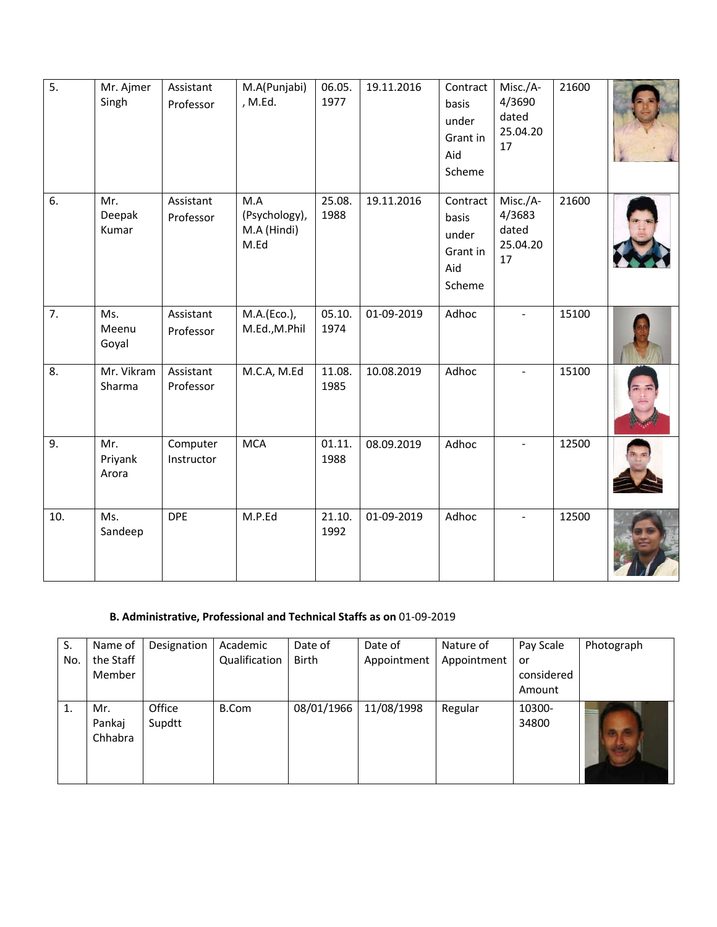| $\overline{5}$ . | Mr. Ajmer<br>Singh      | Assistant<br>Professor | M.A(Punjabi)<br>, M.Ed.                     | 06.05.<br>1977 | 19.11.2016 | Contract<br>basis<br>under<br>Grant in<br>Aid<br>Scheme | Misc./A-<br>4/3690<br>dated<br>25.04.20<br>17 | 21600 |  |
|------------------|-------------------------|------------------------|---------------------------------------------|----------------|------------|---------------------------------------------------------|-----------------------------------------------|-------|--|
| 6.               | Mr.<br>Deepak<br>Kumar  | Assistant<br>Professor | M.A<br>(Psychology),<br>M.A (Hindi)<br>M.Ed | 25.08.<br>1988 | 19.11.2016 | Contract<br>basis<br>under<br>Grant in<br>Aid<br>Scheme | Misc./A-<br>4/3683<br>dated<br>25.04.20<br>17 | 21600 |  |
| 7.               | Ms.<br>Meenu<br>Goyal   | Assistant<br>Professor | M.A.(Eco.),<br>M.Ed., M.Phil                | 05.10.<br>1974 | 01-09-2019 | Adhoc                                                   |                                               | 15100 |  |
| 8.               | Mr. Vikram<br>Sharma    | Assistant<br>Professor | M.C.A, M.Ed                                 | 11.08.<br>1985 | 10.08.2019 | Adhoc                                                   | $\overline{\phantom{a}}$                      | 15100 |  |
| 9.               | Mr.<br>Priyank<br>Arora | Computer<br>Instructor | <b>MCA</b>                                  | 01.11.<br>1988 | 08.09.2019 | Adhoc                                                   | $\overline{\phantom{a}}$                      | 12500 |  |
| 10.              | Ms.<br>Sandeep          | <b>DPE</b>             | M.P.Ed                                      | 21.10.<br>1992 | 01-09-2019 | Adhoc                                                   |                                               | 12500 |  |

## **B. Administrative, Professional and Technical Staffs as on** 01-09-2019

| S.<br>No. | Name of<br>the Staff<br>Member | Designation      | Academic<br>Qualification | Date of<br><b>Birth</b> | Date of<br>Appointment | Nature of<br>Appointment | Pay Scale<br>or<br>considered<br>Amount | Photograph |
|-----------|--------------------------------|------------------|---------------------------|-------------------------|------------------------|--------------------------|-----------------------------------------|------------|
| 1.        | Mr.<br>Pankaj<br>Chhabra       | Office<br>Supdtt | B.Com                     | 08/01/1966              | 11/08/1998             | Regular                  | 10300-<br>34800                         |            |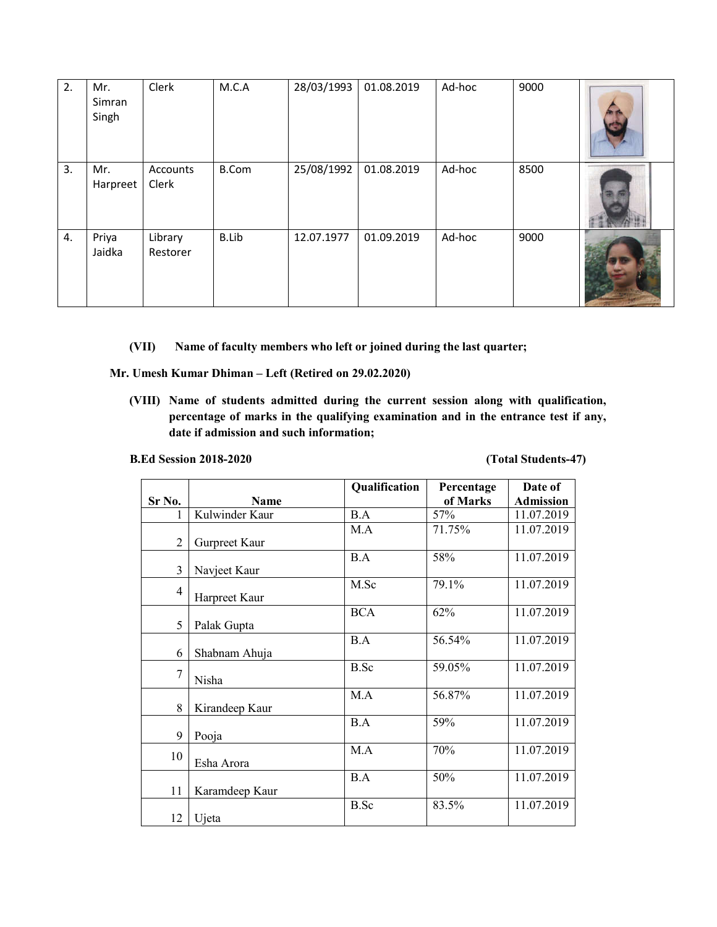| 2. | Mr.<br>Simran<br>Singh | Clerk               | M.C.A        | 28/03/1993 | 01.08.2019 | Ad-hoc | 9000 |  |
|----|------------------------|---------------------|--------------|------------|------------|--------|------|--|
| 3. | Mr.<br>Harpreet        | Accounts<br>Clerk   | <b>B.Com</b> | 25/08/1992 | 01.08.2019 | Ad-hoc | 8500 |  |
| 4. | Priya<br>Jaidka        | Library<br>Restorer | <b>B.Lib</b> | 12.07.1977 | 01.09.2019 | Ad-hoc | 9000 |  |

**(VII) Name of faculty members who left or joined during the last quarter;**

**Mr. Umesh Kumar Dhiman – Left (Retired on 29.02.2020)**

**(VIII) Name of students admitted during the current session along with qualification, percentage of marks in the qualifying examination and in the entrance test if any, date if admission and such information;**

**B.Ed Session 2018-2020 (Total Students-47)**

|                |                | Qualification | Percentage | Date of          |
|----------------|----------------|---------------|------------|------------------|
| Sr No.         | Name           |               | of Marks   | <b>Admission</b> |
|                | Kulwinder Kaur | B.A           | 57%        | 11.07.2019       |
|                |                | M.A           | 71.75%     | 11.07.2019       |
| $\overline{2}$ | Gurpreet Kaur  |               |            |                  |
|                |                | B.A           | 58%        | 11.07.2019       |
| 3              | Navjeet Kaur   |               |            |                  |
| $\overline{4}$ |                | M.Sc          | 79.1%      | 11.07.2019       |
|                | Harpreet Kaur  |               |            |                  |
|                |                | <b>BCA</b>    | 62%        | 11.07.2019       |
| 5              | Palak Gupta    |               |            |                  |
|                |                | B.A           | 56.54%     | 11.07.2019       |
| 6              | Shabnam Ahuja  |               |            |                  |
| 7              |                | <b>B.Sc</b>   | 59.05%     | 11.07.2019       |
|                | Nisha          |               |            |                  |
|                |                | M.A           | 56.87%     | 11.07.2019       |
| 8              | Kirandeep Kaur |               |            |                  |
|                |                | B.A           | 59%        | 11.07.2019       |
| 9              | Pooja          |               |            |                  |
| 10             |                | M.A           | 70%        | 11.07.2019       |
|                | Esha Arora     |               |            |                  |
|                |                | B.A           | 50%        | 11.07.2019       |
| 11             | Karamdeep Kaur |               |            |                  |
|                |                | <b>B.Sc</b>   | 83.5%      | 11.07.2019       |
| 12             | Ujeta          |               |            |                  |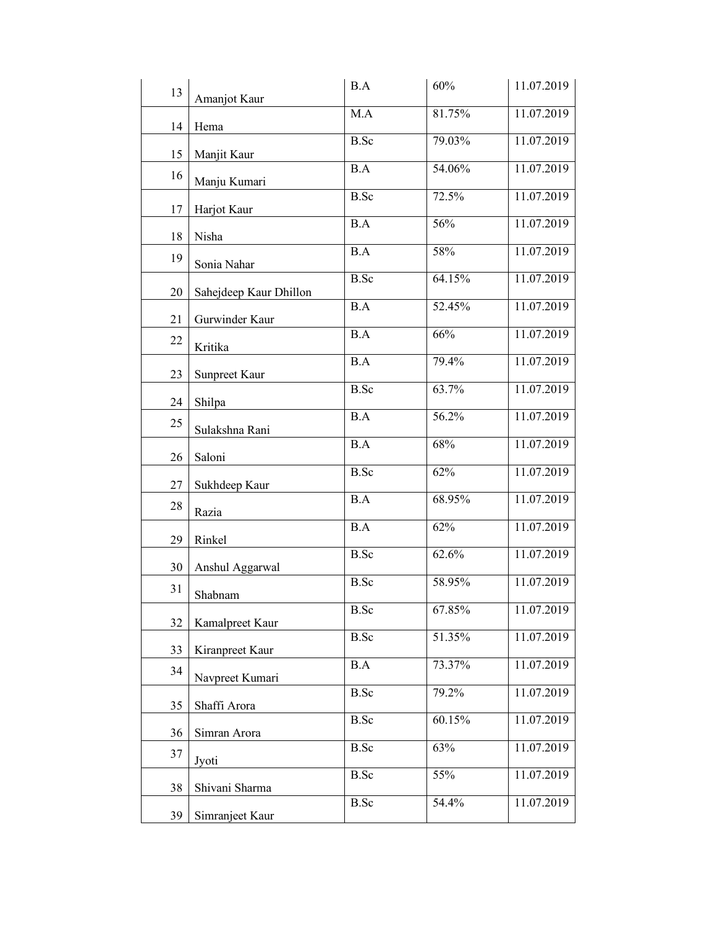| 13       | Amanjot Kaur           | B.A             | 60%    | 11.07.2019 |
|----------|------------------------|-----------------|--------|------------|
| 14       | Hema                   | M.A             | 81.75% | 11.07.2019 |
|          | Manjit Kaur            | <b>B.Sc</b>     | 79.03% | 11.07.2019 |
| 15<br>16 |                        | B.A             | 54.06% | 11.07.2019 |
|          | Manju Kumari           | <b>B.Sc</b>     | 72.5%  | 11.07.2019 |
| 17       | Harjot Kaur            | B.A             | 56%    | 11.07.2019 |
| 18       | Nisha                  | B.A             | 58%    | 11.07.2019 |
| 19       | Sonia Nahar            |                 |        |            |
| 20       | Sahejdeep Kaur Dhillon | <b>B.Sc</b>     | 64.15% | 11.07.2019 |
| 21       | Gurwinder Kaur         | B.A             | 52.45% | 11.07.2019 |
| 22       | Kritika                | B.A             | 66%    | 11.07.2019 |
| 23       | Sunpreet Kaur          | $\overline{BA}$ | 79.4%  | 11.07.2019 |
| 24       | Shilpa                 | <b>B.Sc</b>     | 63.7%  | 11.07.2019 |
| 25       |                        | B.A             | 56.2%  | 11.07.2019 |
|          | Sulakshna Rani         | B.A             | 68%    | 11.07.2019 |
| 26       | Saloni                 | B.Sc            | 62%    | 11.07.2019 |
| 27       | Sukhdeep Kaur          | $\overline{BA}$ | 68.95% | 11.07.2019 |
| 28       | Razia                  | B.A             | 62%    | 11.07.2019 |
| 29       | Rinkel                 |                 |        | 11.07.2019 |
| 30       | Anshul Aggarwal        | <b>B.Sc</b>     | 62.6%  |            |
| 31       | Shabnam                | <b>B.Sc</b>     | 58.95% | 11.07.2019 |
| 32       | Kamalpreet Kaur        | B.Sc            | 67.85% | 11.07.2019 |
| 33       | Kiranpreet Kaur        | <b>B.Sc</b>     | 51.35% | 11.07.2019 |
| 34       | Navpreet Kumari        | B.A             | 73.37% | 11.07.2019 |
|          |                        | <b>B.Sc</b>     | 79.2%  | 11.07.2019 |
| 35       | Shaffi Arora           | <b>B.Sc</b>     | 60.15% | 11.07.2019 |
| 36<br>37 | Simran Arora           | <b>B.Sc</b>     | 63%    | 11.07.2019 |
|          | Jyoti                  | <b>B.Sc</b>     | 55%    | 11.07.2019 |
| 38       | Shivani Sharma         | <b>B.Sc</b>     | 54.4%  | 11.07.2019 |
| 39       | Simranjeet Kaur        |                 |        |            |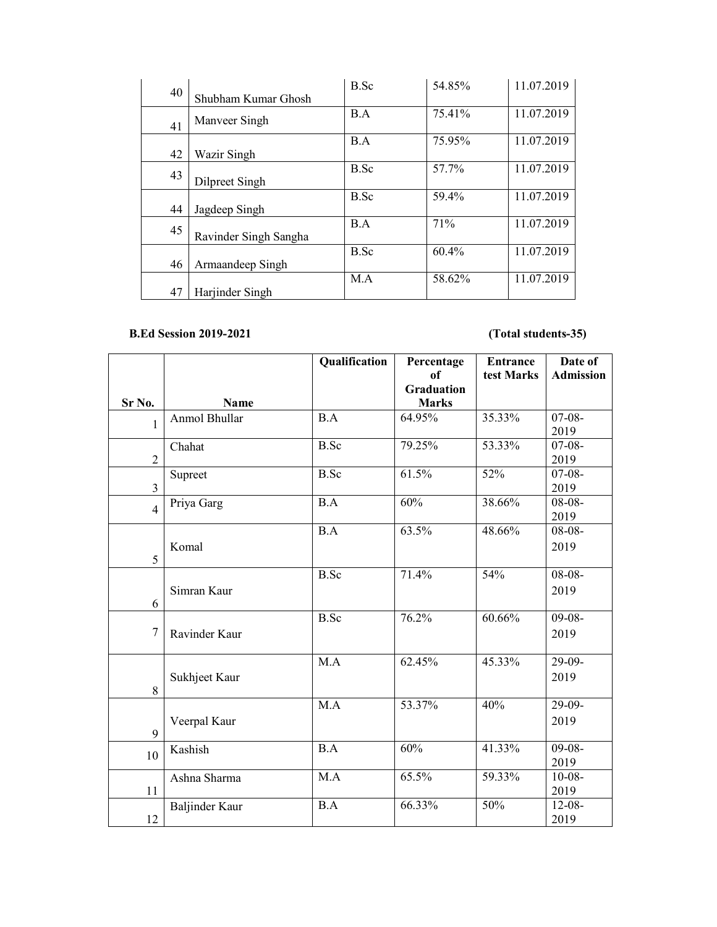| 40 |                       | B.Sc        | 54.85%   | 11.07.2019 |
|----|-----------------------|-------------|----------|------------|
|    | Shubham Kumar Ghosh   |             |          |            |
| 41 | Manveer Singh         | B.A         | 75.41%   | 11.07.2019 |
|    |                       |             |          |            |
| 42 | Wazir Singh           | B.A         | 75.95%   | 11.07.2019 |
| 43 | Dilpreet Singh        | B.Sc        | 57.7%    | 11.07.2019 |
| 44 | Jagdeep Singh         | <b>B.Sc</b> | 59.4%    | 11.07.2019 |
| 45 | Ravinder Singh Sangha | B.A         | 71%      | 11.07.2019 |
| 46 | Armaandeep Singh      | B.Sc        | $60.4\%$ | 11.07.2019 |
|    |                       | M.A         | 58.62%   | 11.07.2019 |
| 47 | Harjinder Singh       |             |          |            |

## **B.Ed Session 2019-2021 (Total students-35)**

|                |                       | Qualification | Percentage<br>of  | <b>Entrance</b><br>test Marks | Date of          |
|----------------|-----------------------|---------------|-------------------|-------------------------------|------------------|
|                |                       |               | <b>Graduation</b> |                               | <b>Admission</b> |
| Sr No.         | <b>Name</b>           |               | <b>Marks</b>      |                               |                  |
|                | Anmol Bhullar         | B.A           | 64.95%            | 35.33%                        | $07-08-$         |
| 1              |                       |               |                   |                               | 2019             |
|                | Chahat                | <b>B.Sc</b>   | 79.25%            | 53.33%                        | $07-08-$         |
| $\overline{2}$ |                       |               |                   |                               | 2019             |
|                | Supreet               | <b>B.Sc</b>   | 61.5%             | 52%                           | $07-08-$         |
| $\overline{3}$ |                       |               |                   |                               | 2019             |
| $\overline{4}$ | Priya Garg            | B.A           | 60%               | 38.66%                        | $08-08-$         |
|                |                       |               |                   |                               | 2019             |
|                |                       | B.A           | 63.5%             | 48.66%                        | $08-08-$         |
| 5              | Komal                 |               |                   |                               | 2019             |
|                |                       | <b>B.Sc</b>   | 71.4%             | 54%                           | $08-08-$         |
|                | Simran Kaur           |               |                   |                               | 2019             |
| 6              |                       |               |                   |                               |                  |
|                |                       | <b>B.Sc</b>   | 76.2%             | $60.66\%$                     | $09-08-$         |
| $\overline{7}$ | Ravinder Kaur         |               |                   |                               | 2019             |
|                |                       |               |                   |                               |                  |
|                |                       | M.A           | 62.45%            | 45.33%                        | $29-09-$         |
|                | Sukhjeet Kaur         |               |                   |                               | 2019             |
| 8              |                       |               |                   |                               |                  |
|                |                       | M.A           | 53.37%            | 40%                           | 29-09-           |
|                | Veerpal Kaur          |               |                   |                               | 2019             |
| 9              |                       |               |                   |                               |                  |
| 10             | Kashish               | B.A           | 60%               | 41.33%                        | $09-08-$         |
|                |                       |               |                   |                               | 2019             |
|                | Ashna Sharma          | M.A           | 65.5%             | 59.33%                        | $10-08-$         |
| 11             |                       | B.A           | 66.33%            | 50%                           | 2019<br>$12-08-$ |
| 12             | <b>Baljinder Kaur</b> |               |                   |                               | 2019             |
|                |                       |               |                   |                               |                  |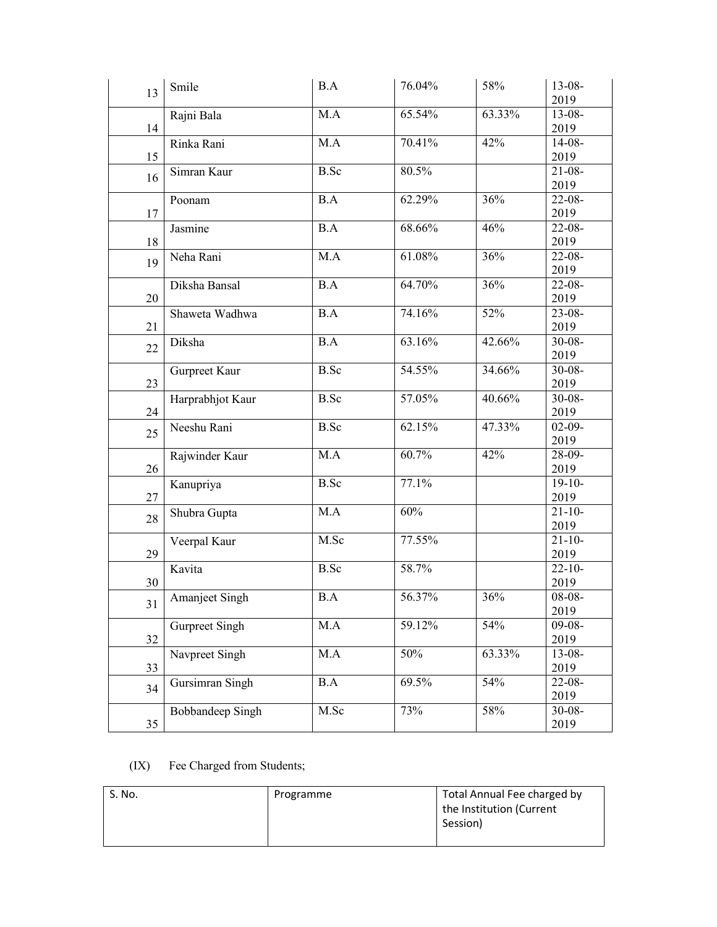| 13 | Smile            | B.A         | 76.04% | 58%    | $13 - 08 -$<br>2019 |
|----|------------------|-------------|--------|--------|---------------------|
| 14 | Rajni Bala       | M.A         | 65.54% | 63.33% | $13 - 08 -$<br>2019 |
| 15 | Rinka Rani       | M.A         | 70.41% | 42%    | $14-08-$<br>2019    |
| 16 | Simran Kaur      | <b>B.Sc</b> | 80.5%  |        | $21 - 08 -$<br>2019 |
| 17 | Poonam           | B.A         | 62.29% | 36%    | $22-08-$<br>2019    |
| 18 | Jasmine          | B.A         | 68.66% | 46%    | $22-08-$<br>2019    |
| 19 | Neha Rani        | M.A         | 61.08% | 36%    | $22-08-$<br>2019    |
| 20 | Diksha Bansal    | B.A         | 64.70% | 36%    | $22-08-$<br>2019    |
| 21 | Shaweta Wadhwa   | B.A         | 74.16% | 52%    | $23 - 08 -$<br>2019 |
| 22 | Diksha           | B.A         | 63.16% | 42.66% | $30 - 08 -$<br>2019 |
| 23 | Gurpreet Kaur    | <b>B.Sc</b> | 54.55% | 34.66% | $30 - 08 -$<br>2019 |
| 24 | Harprabhjot Kaur | <b>B.Sc</b> | 57.05% | 40.66% | $30 - 08 -$<br>2019 |
| 25 | Neeshu Rani      | B.Sc        | 62.15% | 47.33% | $02-09-$<br>2019    |
| 26 | Rajwinder Kaur   | M.A         | 60.7%  | 42%    | 28-09-<br>2019      |
| 27 | Kanupriya        | <b>B.Sc</b> | 77.1%  |        | $19-10-$<br>2019    |
| 28 | Shubra Gupta     | M.A         | 60%    |        | $21 - 10 -$<br>2019 |
| 29 | Veerpal Kaur     | M.Sc        | 77.55% |        | $21 - 10 -$<br>2019 |
| 30 | Kavita           | <b>B.Sc</b> | 58.7%  |        | $22 - 10 -$<br>2019 |
| 31 | Amanjeet Singh   | B.A         | 56.37% | 36%    | $08 - 08 -$<br>2019 |
| 32 | Gurpreet Singh   | M.A         | 59.12% | 54%    | $09-08-$<br>2019    |
| 33 | Navpreet Singh   | M.A         | 50%    | 63.33% | $13-08-$<br>2019    |
| 34 | Gursimran Singh  | B.A         | 69.5%  | 54%    | $22-08-$<br>2019    |
| 35 | Bobbandeep Singh | M.Sc        | 73%    | 58%    | $30 - 08 -$<br>2019 |

(IX) Fee Charged from Students;

| S. No. | Programme | Total Annual Fee charged by<br>the Institution (Current<br>Session) |
|--------|-----------|---------------------------------------------------------------------|
|        |           |                                                                     |